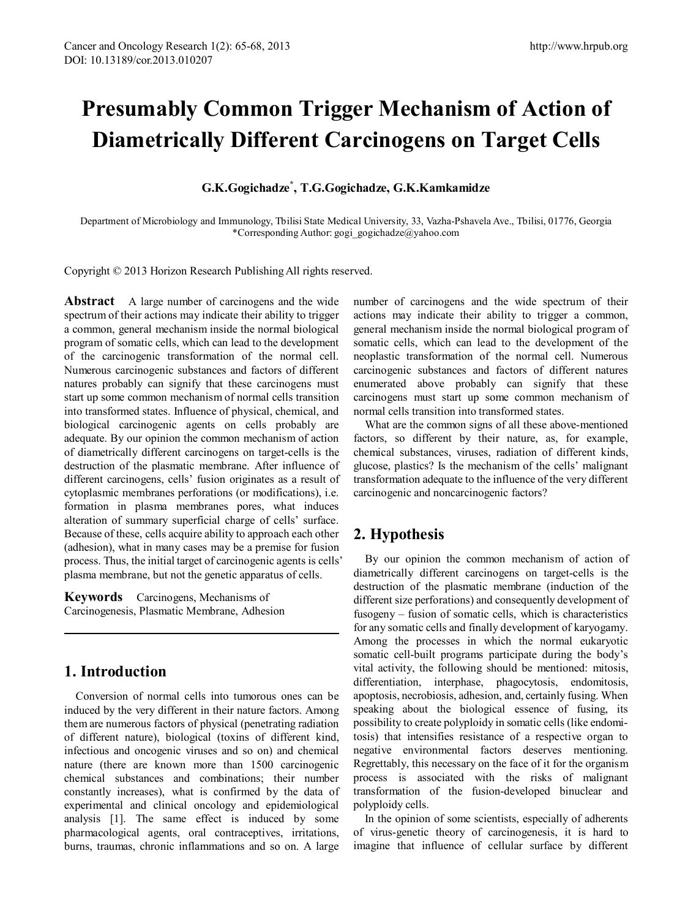# **Presumably Common Trigger Mechanism of Action of Diametrically Different Carcinogens on Target Cells**

## **G.K.Gogichadze\* , T.G.Gogichadze, G.K.Kamkamidze**

Department of Microbiology and Immunology, Tbilisi State Medical University, 33, Vazha-Pshavela Ave., Tbilisi, 01776, Georgia \*Corresponding Author: gogi\_gogichadze@yahoo.com

Copyright © 2013 Horizon Research Publishing All rights reserved.

**Abstract** A large number of carcinogens and the wide spectrum of their actions may indicate their ability to trigger a common, general mechanism inside the normal biological program of somatic cells, which can lead to the development of the carcinogenic transformation of the normal cell. Numerous carcinogenic substances and factors of different natures probably can signify that these carcinogens must start up some common mechanism of normal cells transition into transformed states. Influence of physical, chemical, and biological carcinogenic agents on cells probably are adequate. By our opinion the common mechanism of action of diametrically different carcinogens on target-cells is the destruction of the plasmatic membrane. After influence of different carcinogens, cells' fusion originates as a result of cytoplasmic membranes perforations (or modifications), i.e. formation in plasma membranes pores, what induces alteration of summary superficial charge of cells' surface. Because of these, cells acquire ability to approach each other (adhesion), what in many cases may be a premise for fusion process. Thus, the initial target of carcinogenic agents is cells' plasma membrane, but not the genetic apparatus of cells.

**Keywords** Carcinogens, Mechanisms of Carcinogenesis, Plasmatic Membrane, Adhesion

# **1. Introduction**

Conversion of normal cells into tumorous ones can be induced by the very different in their nature factors. Among them are numerous factors of physical (penetrating radiation of different nature), biological (toxins of different kind, infectious and oncogenic viruses and so on) and chemical nature (there are known more than 1500 carcinogenic chemical substances and combinations; their number constantly increases), what is confirmed by the data of experimental and clinical oncology and epidemiological analysis [1]. The same effect is induced by some pharmacological agents, oral contraceptives, irritations, burns, traumas, chronic inflammations and so on. A large

number of carcinogens and the wide spectrum of their actions may indicate their ability to trigger a common, general mechanism inside the normal biological program of somatic cells, which can lead to the development of the neoplastic transformation of the normal cell. Numerous carcinogenic substances and factors of different natures enumerated above probably can signify that these carcinogens must start up some common mechanism of normal cells transition into transformed states.

What are the common signs of all these above-mentioned factors, so different by their nature, as, for example, chemical substances, viruses, radiation of different kinds, glucose, plastics? Is the mechanism of the cells' malignant transformation adequate to the influence of the very different carcinogenic and noncarcinogenic factors?

# **2. Hypothesis**

By our opinion the common mechanism of action of diametrically different carcinogens on target-cells is the destruction of the plasmatic membrane (induction of the different size perforations) and consequently development of fusogeny – fusion of somatic cells, which is characteristics for any somatic cells and finally development of karyogamy. Among the processes in which the normal eukaryotic somatic cell-built programs participate during the body's vital activity, the following should be mentioned: mitosis, differentiation, interphase, phagocytosis, endomitosis, apoptosis, necrobiosis, adhesion, and, certainly fusing. When speaking about the biological essence of fusing, its possibility to create polyploidy in somatic cells (like endomitosis) that intensifies resistance of a respective organ to negative environmental factors deserves mentioning. Regrettably, this necessary on the face of it for the organism process is associated with the risks of malignant transformation of the fusion-developed binuclear and polyploidy cells.

In the opinion of some scientists, especially of adherents of virus-genetic theory of carcinogenesis, it is hard to imagine that influence of cellular surface by different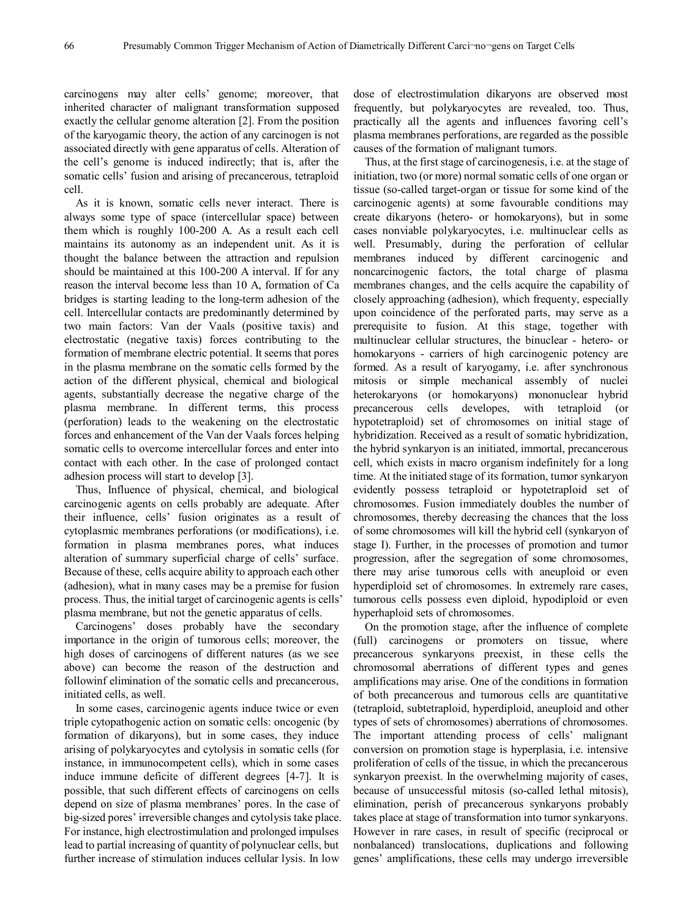carcinogens may alter cells' genome; moreover, that inherited character of malignant transformation supposed exactly the cellular genome alteration [2]. From the position of the karyogamic theory, the action of any carcinogen is not associated directly with gene apparatus of cells. Alteration of the cell's genome is induced indirectly; that is, after the somatic cells' fusion and arising of precancerous, tetraploid cell.

As it is known, somatic cells never interact. There is always some type of space (intercellular space) between them which is roughly 100-200 A. As a result each cell maintains its autonomy as an independent unit. As it is thought the balance between the attraction and repulsion should be maintained at this 100-200 A interval. If for any reason the interval become less than 10 A, formation of Ca bridges is starting leading to the long-term adhesion of the cell. Intercellular contacts are predominantly determined by two main factors: Van der Vaals (positive taxis) and electrostatic (negative taxis) forces contributing to the formation of membrane electric potential. It seems that pores in the plasma membrane on the somatic cells formed by the action of the different physical, chemical and biological agents, substantially decrease the negative charge of the plasma membrane. In different terms, this process (perforation) leads to the weakening on the electrostatic forces and enhancement of the Van der Vaals forces helping somatic cells to overcome intercellular forces and enter into contact with each other. In the case of prolonged contact adhesion process will start to develop [3].

Thus, Influence of physical, chemical, and biological carcinogenic agents on cells probably are adequate. After their influence, cells' fusion originates as a result of cytoplasmic membranes perforations (or modifications), i.e. formation in plasma membranes pores, what induces alteration of summary superficial charge of cells' surface. Because of these, cells acquire ability to approach each other (adhesion), what in many cases may be a premise for fusion process. Thus, the initial target of carcinogenic agents is cells' plasma membrane, but not the genetic apparatus of cells.

Carcinogens' doses probably have the secondary importance in the origin of tumorous cells; moreover, the high doses of carcinogens of different natures (as we see above) can become the reason of the destruction and followinf elimination of the somatic cells and precancerous, initiated cells, as well.

In some cases, carcinogenic agents induce twice or even triple cytopathogenic action on somatic cells: oncogenic (by formation of dikaryons), but in some cases, they induce arising of polykaryocytes and cytolysis in somatic cells (for instance, in immunocompetent cells), which in some cases induce immune deficite of different degrees [4-7]. It is possible, that such different effects of carcinogens on cells depend on size of plasma membranes' pores. In the case of big-sized pores' irreversible changes and cytolysis take place. For instance, high electrostimulation and prolonged impulses lead to partial increasing of quantity of polynuclear cells, but further increase of stimulation induces cellular lysis. In low

dose of electrostimulation dikaryons are observed most frequently, but polykaryocytes are revealed, too. Thus, practically all the agents and influences favoring cell's plasma membranes perforations, are regarded as the possible causes of the formation of malignant tumors.

Thus, at the first stage of carcinogenesis, i.e. at the stage of initiation, two (or more) normal somatic cells of one organ or tissue (so-called target-organ or tissue for some kind of the carcinogenic agents) at some favourable conditions may create dikaryons (hetero- or homokaryons), but in some cases nonviable polykaryocytes, i.e. multinuclear cells as well. Presumably, during the perforation of cellular membranes induced by different carcinogenic and noncarcinogenic factors, the total charge of plasma membranes changes, and the cells acquire the capability of closely approaching (adhesion), which frequenty, especially upon coincidence of the perforated parts, may serve as a prerequisite to fusion. At this stage, together with multinuclear cellular structures, the binuclear - hetero- or homokaryons - carriers of high carcinogenic potency are formed. As a result of karyogamy, i.e. after synchronous mitosis or simple mechanical assembly of nuclei heterokaryons (or homokaryons) mononuclear hybrid precancerous cells developes, with tetraploid (or hypotetraploid) set of chromosomes on initial stage of hybridization. Received as a result of somatic hybridization, the hybrid synkaryon is an initiated, immortal, precancerous cell, which exists in macro organism indefinitely for a long time. At the initiated stage of its formation, tumor synkaryon evidently possess tetraploid or hypotetraploid set of chromosomes. Fusion immediately doubles the number of chromosomes, thereby decreasing the chances that the loss of some chromosomes will kill the hybrid cell (synkaryon of stage I). Further, in the processes of promotion and tumor progression, after the segregation of some chromosomes, there may arise tumorous cells with aneuploid or even hyperdiploid set of chromosomes. In extremely rare cases, tumorous cells possess even diploid, hypodiploid or even hyperhaploid sets of chromosomes.

On the promotion stage, after the influence of complete (full) carcinogens or promoters on tissue, where precancerous synkaryons preexist, in these cells the chromosomal aberrations of different types and genes amplifications may arise. One of the conditions in formation of both precancerous and tumorous cells are quantitative (tetraploid, subtetraploid, hyperdiploid, aneuploid and other types of sets of chromosomes) aberrations of chromosomes. The important attending process of cells' malignant conversion on promotion stage is hyperplasia, i.e. intensive proliferation of cells of the tissue, in which the precancerous synkaryon preexist. In the overwhelming majority of cases, because of unsuccessful mitosis (so-called lethal mitosis), elimination, perish of precancerous synkaryons probably takes place at stage of transformation into tumor synkaryons. However in rare cases, in result of specific (reciprocal or nonbalanced) translocations, duplications and following genes' amplifications, these cells may undergo irreversible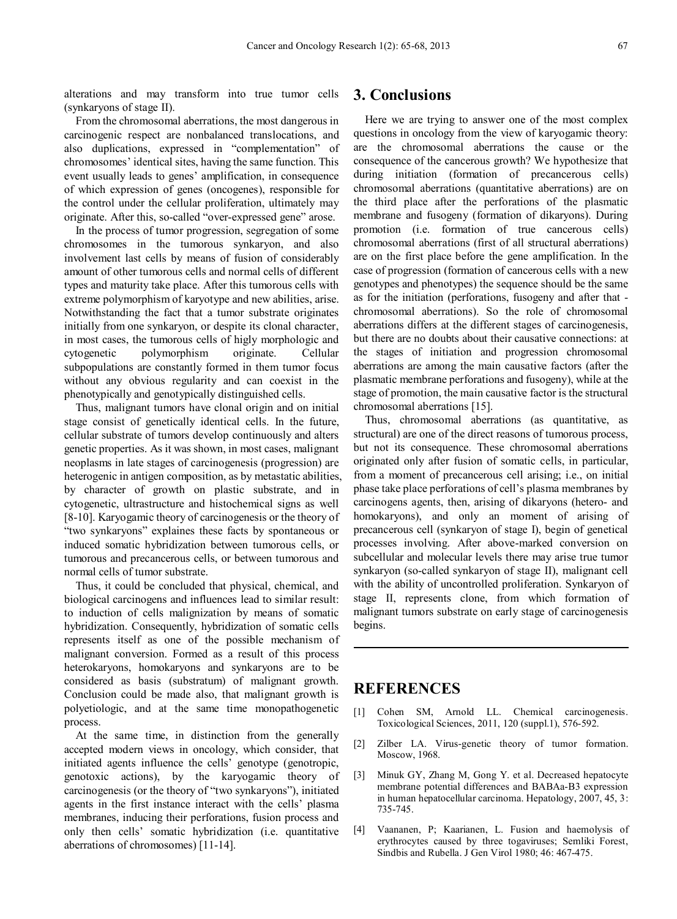alterations and may transform into true tumor cells (synkaryons of stage II).

From the chromosomal aberrations, the most dangerous in carcinogenic respect are nonbalanced translocations, and also duplications, expressed in "complementation" of chromosomes' identical sites, having the same function. This event usually leads to genes' amplification, in consequence of which expression of genes (oncogenes), responsible for the control under the cellular proliferation, ultimately may originate. After this, so-called "over-expressed gene" arose.

In the process of tumor progression, segregation of some chromosomes in the tumorous synkaryon, and also involvement last cells by means of fusion of considerably amount of other tumorous cells and normal cells of different types and maturity take place. After this tumorous cells with extreme polymorphism of karyotype and new abilities, arise. Notwithstanding the fact that a tumor substrate originates initially from one synkaryon, or despite its clonal character, in most cases, the tumorous cells of higly morphologic and cytogenetic polymorphism originate. Cellular subpopulations are constantly formed in them tumor focus without any obvious regularity and can coexist in the phenotypically and genotypically distinguished cells.

Thus, malignant tumors have clonal origin and on initial stage consist of genetically identical cells. In the future, cellular substrate of tumors develop continuously and alters genetic properties. As it was shown, in most cases, malignant neoplasms in late stages of carcinogenesis (progression) are heterogenic in antigen composition, as by metastatic abilities, by character of growth on plastic substrate, and in cytogenetic, ultrastructure and histochemical signs as well [8-10]. Karyogamic theory of carcinogenesis or the theory of "two synkaryons" explaines these facts by spontaneous or induced somatic hybridization between tumorous cells, or tumorous and precancerous cells, or between tumorous and normal cells of tumor substrate.

Thus, it could be concluded that physical, chemical, and biological carcinogens and influences lead to similar result: to induction of cells malignization by means of somatic hybridization. Consequently, hybridization of somatic cells represents itself as one of the possible mechanism of malignant conversion. Formed as a result of this process heterokaryons, homokaryons and synkaryons are to be considered as basis (substratum) of malignant growth. Conclusion could be made also, that malignant growth is polyetiologic, and at the same time monopathogenetic process.

At the same time, in distinction from the generally accepted modern views in oncology, which consider, that initiated agents influence the cells' genotype (genotropic, genotoxic actions), by the karyogamic theory of carcinogenesis (or the theory of "two synkaryons"), initiated agents in the first instance interact with the cells' plasma membranes, inducing their perforations, fusion process and only then cells' somatic hybridization (i.e. quantitative aberrations of chromosomes) [11-14].

#### **3. Conclusions**

Here we are trying to answer one of the most complex questions in oncology from the view of karyogamic theory: are the chromosomal aberrations the cause or the consequence of the cancerous growth? We hypothesize that during initiation (formation of precancerous cells) chromosomal aberrations (quantitative aberrations) are on the third place after the perforations of the plasmatic membrane and fusogeny (formation of dikaryons). During promotion (i.e. formation of true cancerous cells) chromosomal aberrations (first of all structural aberrations) are on the first place before the gene amplification. In the case of progression (formation of cancerous cells with a new genotypes and phenotypes) the sequence should be the same as for the initiation (perforations, fusogeny and after that chromosomal aberrations). So the role of chromosomal aberrations differs at the different stages of carcinogenesis, but there are no doubts about their causative connections: at the stages of initiation and progression chromosomal aberrations are among the main causative factors (after the plasmatic membrane perforations and fusogeny), while at the stage of promotion, the main causative factor is the structural chromosomal aberrations [15].

Thus, chromosomal aberrations (as quantitative, as structural) are one of the direct reasons of tumorous process, but not its consequence. These chromosomal aberrations originated only after fusion of somatic cells, in particular, from a moment of precancerous cell arising; i.e., on initial phase take place perforations of cell's plasma membranes by carcinogens agents, then, arising of dikaryons (hetero- and homokaryons), and only an moment of arising of precancerous cell (synkaryon of stage I), begin of genetical processes involving. After above-marked conversion on subcellular and molecular levels there may arise true tumor synkaryon (so-called synkaryon of stage II), malignant cell with the ability of uncontrolled proliferation. Synkaryon of stage II, represents clone, from which formation of malignant tumors substrate on early stage of carcinogenesis begins.

### **REFERENCES**

- [1] Cohen SM, Arnold LL. Chemical carcinogenesis. Toxicological Sciences, 2011, 120 (suppl.1), 576-592.
- [2] Zilber LA. Virus-genetic theory of tumor formation. Moscow, 1968.
- [3] Minuk GY, Zhang M, Gong Y. et al. Decreased hepatocyte membrane potential differences and BABAa-B3 expression in human hepatocellular carcinoma. Hepatology, 2007, 45, 3: 735-745.
- [4] Vaananen, P; Kaarianen, L. Fusion and haemolysis of erythrocytes caused by three togaviruses; Semliki Forest, Sindbis and Rubella. J Gen Virol 1980; 46: 467-475.